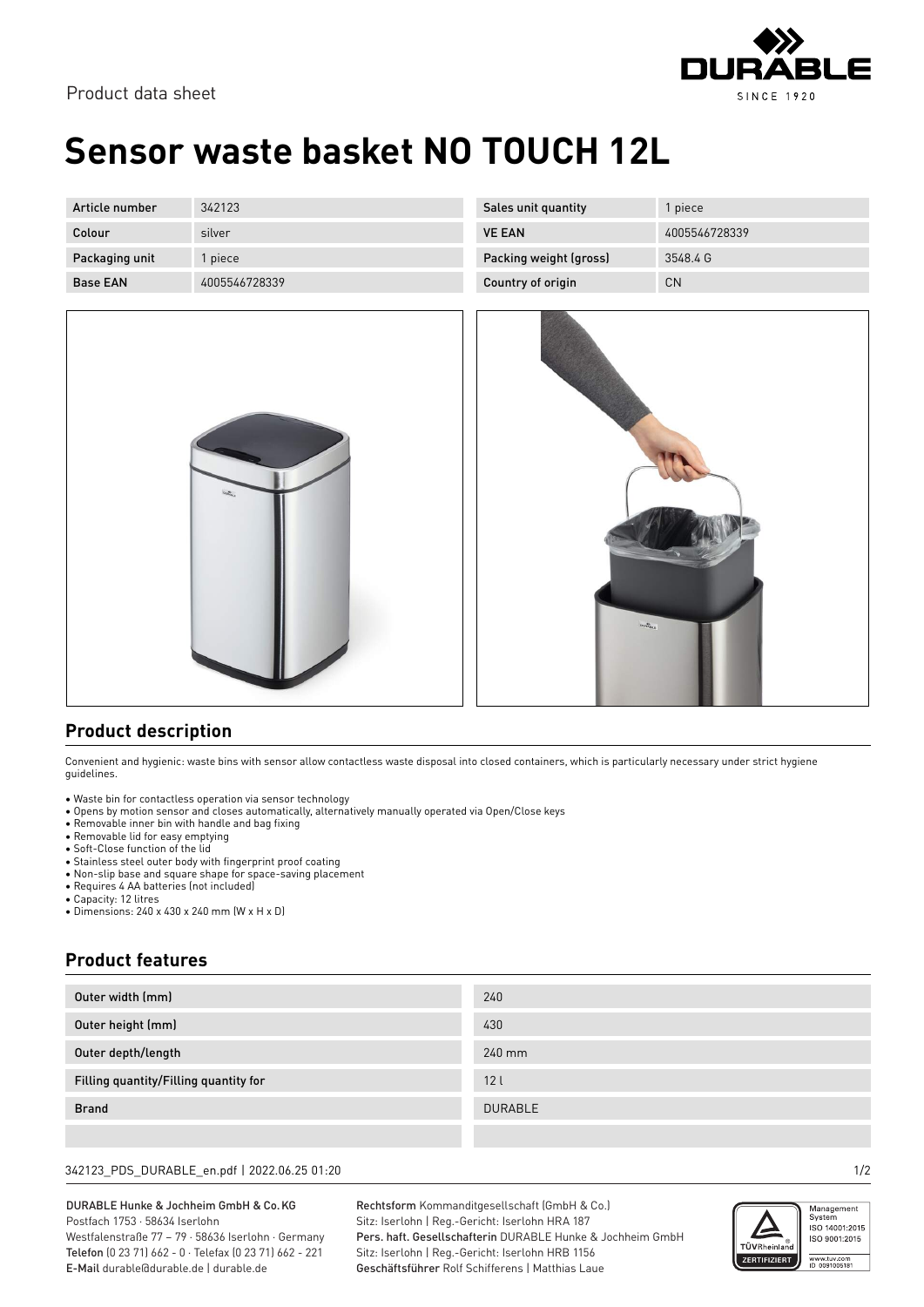

Product data sheet

## **Sensor waste basket NO TOUCH 12L**

| Article number  | 342123        | Sales unit quantity    | l piece       |
|-----------------|---------------|------------------------|---------------|
| Colour          | silver        | <b>VE EAN</b>          | 4005546728339 |
| Packaging unit  | piece         | Packing weight (gross) | 3548.4 G      |
| <b>Base EAN</b> | 4005546728339 | Country of origin      | <b>CN</b>     |



| $\alpha_{\rm s} \alpha_{\rm s}^{\rm th}$ |
|------------------------------------------|
|                                          |
|                                          |
|                                          |

### **Product description**

Convenient and hygienic: waste bins with sensor allow contactless waste disposal into closed containers, which is particularly necessary under strict hygiene guidelines.

- Waste bin for contactless operation via sensor technology
- Opens by motion sensor and closes automatically, alternatively manually operated via Open/Close keys
- Removable inner bin with handle and bag fixing
- Removable lid for easy emptying • Soft-Close function of the lid
- Stainless steel outer body with fingerprint proof coating
- Non-slip base and square shape for space-saving placement
- Requires 4 AA batteries (not included)
- Capacity: 12 litres
- Dimensions: 240 x 430 x 240 mm (W x H x D)

### **Product features**

| Outer width (mm)                      | 240            |
|---------------------------------------|----------------|
| Outer height (mm)                     | 430            |
| Outer depth/length                    | 240 mm         |
| Filling quantity/Filling quantity for | 12l            |
| <b>Brand</b>                          | <b>DURABLE</b> |
|                                       |                |

#### 342123\_PDS\_DURABLE\_en.pdf | 2022.06.25 01:20 1/2

DURABLE Hunke & Jochheim GmbH & Co.KG Postfach 1753 · 58634 Iserlohn Westfalenstraße 77 – 79 · 58636 Iserlohn · Germany Telefon (0 23 71) 662 - 0 · Telefax (0 23 71) 662 - 221

E-Mail durable@durable.de | durable.de

Rechtsform Kommanditgesellschaft (GmbH & Co.) Sitz: Iserlohn | Reg.-Gericht: Iserlohn HRA 187 Pers. haft. Gesellschafterin DURABLE Hunke & Jochheim GmbH Sitz: Iserlohn | Reg.-Gericht: Iserlohn HRB 1156 Geschäftsführer Rolf Schifferens | Matthias Laue